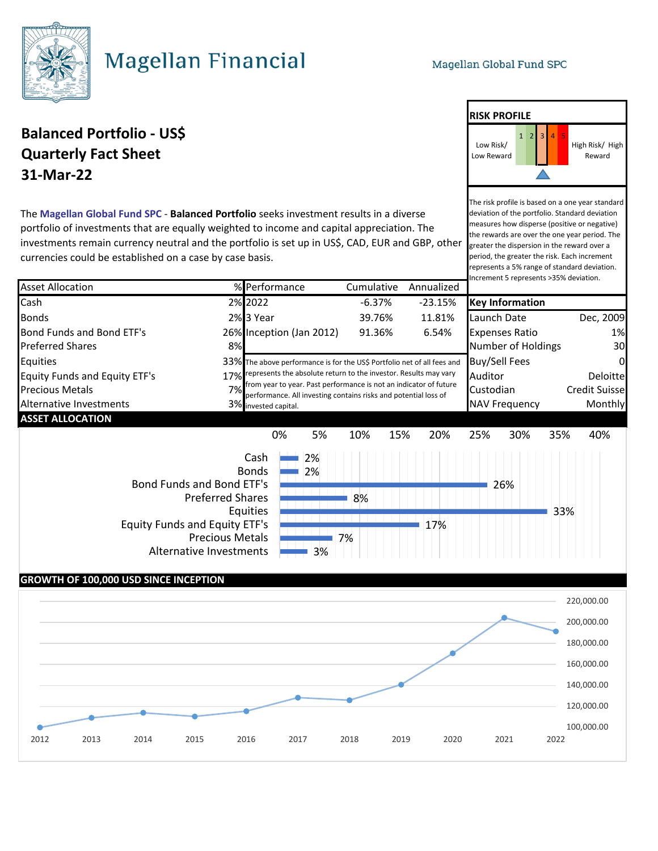**RISK PROFILE**

High Risk/ High Reward

The risk profile is based on a one year standard deviation of the portfolio. Standard deviation measures how disperse (positive or negative) the rewards are over the one year period. The greater the dispersion in the reward over a period, the greater the risk. Each increment represents a 5% range of standard deviation. Increment 5 represents >35% deviation.

Low Risk/ Low Reward



# **Magellan Financial**

### **Balanced Portfolio - US\$** <sup>1</sup> <sup>2</sup> <sup>3</sup> <sup>4</sup> <sup>5</sup> **Quarterly Fact Sheet 31-Mar-22**

The **Magellan Global Fund SPC** - **Balanced Portfolio** seeks investment results in a diverse portfolio of investments that are equally weighted to income and capital appreciation. The investments remain currency neutral and the portfolio is set up in US\$, CAD, EUR and GBP, other currencies could be established on a case by case basis.

#### Asset Allocation % Performance Cumulative Annualized Cash 2% 2022 -6.37% -23.15% **Key Information** Bonds 2% 3 Year 39.76% 11.81% Launch Date Dec, 2009 Bond Funds and Bond ETF's 26% Inception (Jan 2012) 91.36% 6.54% Expenses Ratio 1% Preferred Shares **8 12 Solution Contract Contract Automobile Shares** 30 and 30 and 30 and 30 and 30 and 30 and 30 and 30 and 30 and 30 and 30 and 30 and 30 and 30 and 30 and 30 and 30 and 30 and 30 and 30 and 30 and 30 and Equities **Equities** and the above performance is for the US\$ Portfolio net of all fees and **Buy/Sell Fees** 60 Equity Funds and Equity ETF's 27% Trepresents the absolute return to the investor. Results may vary Auditor 2011 Munitor Deloitte Precious Metals **1992** Credit Suisse **Precious** 27% performance. All investing contains risks and potential loss of **Custodian** Credit Suisse Alternative Investments **Alternative Investments** 3% invested capital. **ASSET ALLOCATION** represents the absolute return to the investor. Results may vary from year to year. Past performance is not an indicator of future invested capital. 2% 2% 26% 8% 33% 17% 7% 3% 0% 5% 10% 15% 20% 25% 30% 35% 40% Cash Bonds Bond Funds and Bond ETF's Preferred Shares Equities Equity Funds and Equity ETF's Precious Metals Alternative Investments

### **GROWTH OF 100,000 USD SINCE INCEPTION**